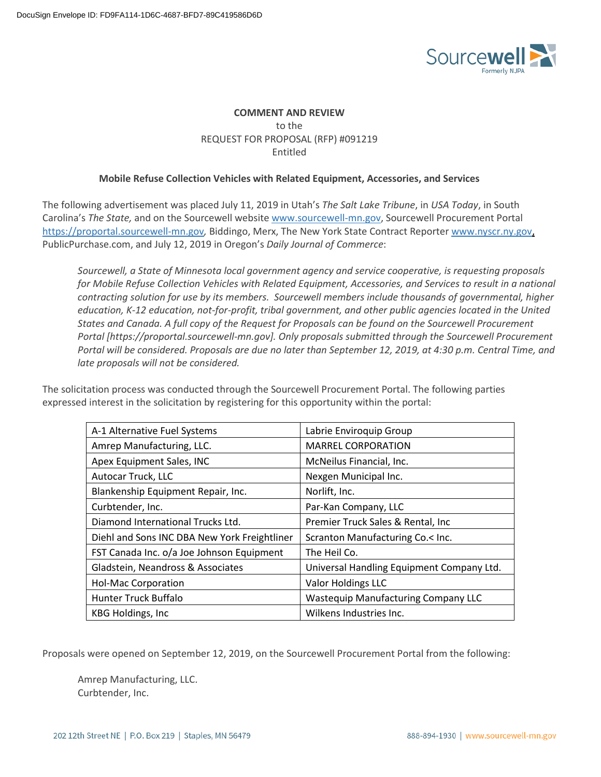

# **COMMENT AND REVIEW** to the REQUEST FOR PROPOSAL (RFP) #091219 Entitled

# **Mobile Refuse Collection Vehicles with Related Equipment, Accessories, and Services**

The following advertisement was placed July 11, 2019 in Utah's *The Salt Lake Tribune*, in *USA Today*, in South Carolina's *The State,* and on the Sourcewell website www.sourcewell-mn.gov, Sourcewell Procurement Portal https://proportal.sourcewell-mn.gov*,* Biddingo, Merx, The New York State Contract Reporter www.nyscr.ny.gov, PublicPurchase.com, and July 12, 2019 in Oregon's *Daily Journal of Commerce*:

*Sourcewell, a State of Minnesota local government agency and service cooperative, is requesting proposals for Mobile Refuse Collection Vehicles with Related Equipment, Accessories, and Services to result in a national contracting solution for use by its members. Sourcewell members include thousands of governmental, higher education, K-12 education, not-for-profit, tribal government, and other public agencies located in the United States and Canada. A full copy of the Request for Proposals can be found on the Sourcewell Procurement Portal [https://proportal.sourcewell-mn.gov]. Only proposals submitted through the Sourcewell Procurement Portal will be considered. Proposals are due no later than September 12, 2019, at 4:30 p.m. Central Time, and late proposals will not be considered.*

The solicitation process was conducted through the Sourcewell Procurement Portal. The following parties expressed interest in the solicitation by registering for this opportunity within the portal:

| A-1 Alternative Fuel Systems                 | Labrie Enviroquip Group                    |
|----------------------------------------------|--------------------------------------------|
| Amrep Manufacturing, LLC.                    | <b>MARREL CORPORATION</b>                  |
| Apex Equipment Sales, INC                    | McNeilus Financial, Inc.                   |
| Autocar Truck, LLC                           | Nexgen Municipal Inc.                      |
| Blankenship Equipment Repair, Inc.           | Norlift, Inc.                              |
| Curbtender, Inc.                             | Par-Kan Company, LLC                       |
| Diamond International Trucks Ltd.            | Premier Truck Sales & Rental, Inc.         |
| Diehl and Sons INC DBA New York Freightliner | Scranton Manufacturing Co.< Inc.           |
| FST Canada Inc. o/a Joe Johnson Equipment    | The Heil Co.                               |
| Gladstein, Neandross & Associates            | Universal Handling Equipment Company Ltd.  |
| <b>Hol-Mac Corporation</b>                   | Valor Holdings LLC                         |
| Hunter Truck Buffalo                         | <b>Wastequip Manufacturing Company LLC</b> |
| KBG Holdings, Inc.                           | Wilkens Industries Inc.                    |

Proposals were opened on September 12, 2019, on the Sourcewell Procurement Portal from the following:

Amrep Manufacturing, LLC. Curbtender, Inc.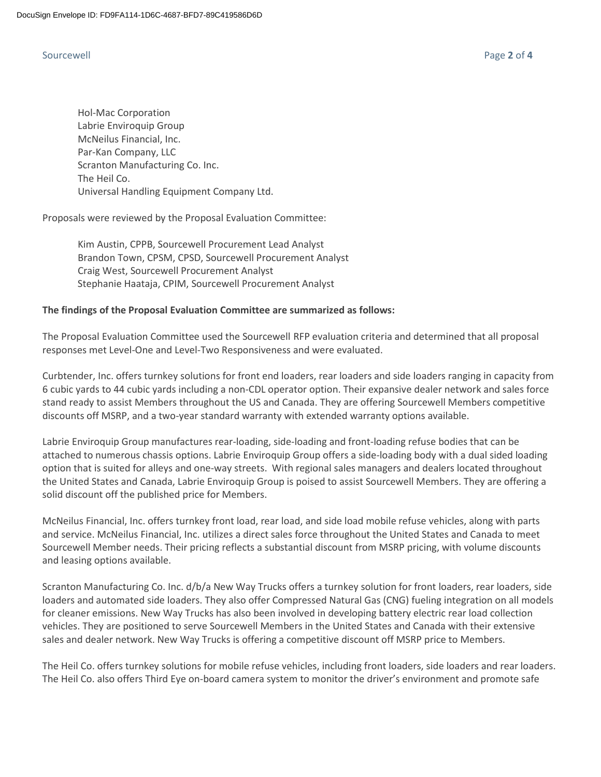Hol-Mac Corporation Labrie Enviroquip Group McNeilus Financial, Inc. Par-Kan Company, LLC Scranton Manufacturing Co. Inc. The Heil Co. Universal Handling Equipment Company Ltd.

Proposals were reviewed by the Proposal Evaluation Committee:

Kim Austin, CPPB, Sourcewell Procurement Lead Analyst Brandon Town, CPSM, CPSD, Sourcewell Procurement Analyst Craig West, Sourcewell Procurement Analyst Stephanie Haataja, CPIM, Sourcewell Procurement Analyst

### **The findings of the Proposal Evaluation Committee are summarized as follows:**

The Proposal Evaluation Committee used the Sourcewell RFP evaluation criteria and determined that all proposal responses met Level-One and Level-Two Responsiveness and were evaluated.

Curbtender, Inc. offers turnkey solutions for front end loaders, rear loaders and side loaders ranging in capacity from 6 cubic yards to 44 cubic yards including a non-CDL operator option. Their expansive dealer network and sales force stand ready to assist Members throughout the US and Canada. They are offering Sourcewell Members competitive discounts off MSRP, and a two-year standard warranty with extended warranty options available.

Labrie Enviroquip Group manufactures rear-loading, side-loading and front-loading refuse bodies that can be attached to numerous chassis options. Labrie Enviroquip Group offers a side-loading body with a dual sided loading option that is suited for alleys and one-way streets. With regional sales managers and dealers located throughout the United States and Canada, Labrie Enviroquip Group is poised to assist Sourcewell Members. They are offering a solid discount off the published price for Members.

McNeilus Financial, Inc. offers turnkey front load, rear load, and side load mobile refuse vehicles, along with parts and service. McNeilus Financial, Inc. utilizes a direct sales force throughout the United States and Canada to meet Sourcewell Member needs. Their pricing reflects a substantial discount from MSRP pricing, with volume discounts and leasing options available.

Scranton Manufacturing Co. Inc. d/b/a New Way Trucks offers a turnkey solution for front loaders, rear loaders, side loaders and automated side loaders. They also offer Compressed Natural Gas (CNG) fueling integration on all models for cleaner emissions. New Way Trucks has also been involved in developing battery electric rear load collection vehicles. They are positioned to serve Sourcewell Members in the United States and Canada with their extensive sales and dealer network. New Way Trucks is offering a competitive discount off MSRP price to Members.

The Heil Co. offers turnkey solutions for mobile refuse vehicles, including front loaders, side loaders and rear loaders. The Heil Co. also offers Third Eye on-board camera system to monitor the driver's environment and promote safe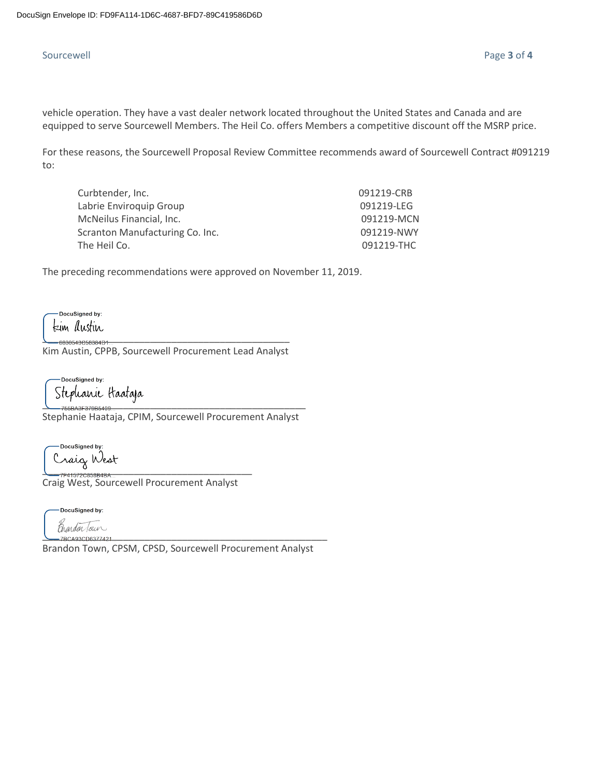# Sourcewell Page **3** of **4**

vehicle operation. They have a vast dealer network located throughout the United States and Canada and are equipped to serve Sourcewell Members. The Heil Co. offers Members a competitive discount off the MSRP price.

For these reasons, the Sourcewell Proposal Review Committee recommends award of Sourcewell Contract #091219 to:

| 091219-CRB |
|------------|
| 091219-LEG |
| 091219-MCN |
| 091219-NWY |
| 091219-THC |
|            |

The preceding recommendations were approved on November 11, 2019.

DocuSigned by: kim Austin

6830543C58384D1. Kim Austin, CPPB, Sourcewell Procurement Lead Analyst

DocuSigned by: \_\_\_\_\_\_\_\_\_\_\_\_\_\_\_\_\_\_\_\_\_\_\_\_\_\_\_\_\_\_\_\_\_\_\_\_\_\_\_\_\_\_\_\_\_\_\_\_\_

Stephanie Haataja, CPIM, Sourcewell Procurement Analyst

DocuSigned by: \_\_\_\_\_\_\_\_\_\_\_\_\_\_\_\_\_\_\_\_\_\_\_\_\_\_\_\_\_\_\_\_\_\_\_\_\_\_\_

Craig West, Sourcewell Procurement Analyst

-DocuSigned by: .<br>manden Tour<br>handen Tour

Brandon Town, CPSM, CPSD, Sourcewell Procurement Analyst